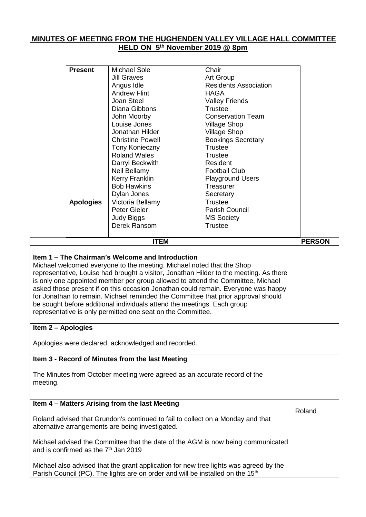## **MINUTES OF MEETING FROM THE HUGHENDEN VALLEY VILLAGE HALL COMMITTEE HELD ON 5th November 2019 @ 8pm**

|                                                                                                                                               | <b>Present</b>                                                                                                                                                                                                                                                                                                                                                                                                                                                                                                                                                                                                                                                                                                                                                                                                                           | <b>Michael Sole</b>                                                                                                                                                                 | Chair                        |               |  |  |
|-----------------------------------------------------------------------------------------------------------------------------------------------|------------------------------------------------------------------------------------------------------------------------------------------------------------------------------------------------------------------------------------------------------------------------------------------------------------------------------------------------------------------------------------------------------------------------------------------------------------------------------------------------------------------------------------------------------------------------------------------------------------------------------------------------------------------------------------------------------------------------------------------------------------------------------------------------------------------------------------------|-------------------------------------------------------------------------------------------------------------------------------------------------------------------------------------|------------------------------|---------------|--|--|
|                                                                                                                                               |                                                                                                                                                                                                                                                                                                                                                                                                                                                                                                                                                                                                                                                                                                                                                                                                                                          | <b>Jill Graves</b>                                                                                                                                                                  | <b>Art Group</b>             |               |  |  |
|                                                                                                                                               |                                                                                                                                                                                                                                                                                                                                                                                                                                                                                                                                                                                                                                                                                                                                                                                                                                          |                                                                                                                                                                                     | <b>Residents Association</b> |               |  |  |
|                                                                                                                                               |                                                                                                                                                                                                                                                                                                                                                                                                                                                                                                                                                                                                                                                                                                                                                                                                                                          | Angus Idle<br><b>Andrew Flint</b>                                                                                                                                                   | <b>HAGA</b>                  |               |  |  |
|                                                                                                                                               |                                                                                                                                                                                                                                                                                                                                                                                                                                                                                                                                                                                                                                                                                                                                                                                                                                          | Joan Steel                                                                                                                                                                          |                              |               |  |  |
|                                                                                                                                               |                                                                                                                                                                                                                                                                                                                                                                                                                                                                                                                                                                                                                                                                                                                                                                                                                                          |                                                                                                                                                                                     | <b>Valley Friends</b>        |               |  |  |
|                                                                                                                                               |                                                                                                                                                                                                                                                                                                                                                                                                                                                                                                                                                                                                                                                                                                                                                                                                                                          | Diana Gibbons                                                                                                                                                                       | <b>Trustee</b>               |               |  |  |
|                                                                                                                                               |                                                                                                                                                                                                                                                                                                                                                                                                                                                                                                                                                                                                                                                                                                                                                                                                                                          | John Moorby                                                                                                                                                                         | <b>Conservation Team</b>     |               |  |  |
|                                                                                                                                               |                                                                                                                                                                                                                                                                                                                                                                                                                                                                                                                                                                                                                                                                                                                                                                                                                                          | Louise Jones                                                                                                                                                                        | <b>Village Shop</b>          |               |  |  |
|                                                                                                                                               |                                                                                                                                                                                                                                                                                                                                                                                                                                                                                                                                                                                                                                                                                                                                                                                                                                          | Jonathan Hilder                                                                                                                                                                     | <b>Village Shop</b>          |               |  |  |
|                                                                                                                                               |                                                                                                                                                                                                                                                                                                                                                                                                                                                                                                                                                                                                                                                                                                                                                                                                                                          | <b>Christine Powell</b>                                                                                                                                                             | <b>Bookings Secretary</b>    |               |  |  |
|                                                                                                                                               |                                                                                                                                                                                                                                                                                                                                                                                                                                                                                                                                                                                                                                                                                                                                                                                                                                          | Tony Konieczny                                                                                                                                                                      | <b>Trustee</b>               |               |  |  |
|                                                                                                                                               |                                                                                                                                                                                                                                                                                                                                                                                                                                                                                                                                                                                                                                                                                                                                                                                                                                          | <b>Roland Wales</b>                                                                                                                                                                 | <b>Trustee</b>               |               |  |  |
|                                                                                                                                               |                                                                                                                                                                                                                                                                                                                                                                                                                                                                                                                                                                                                                                                                                                                                                                                                                                          | Darryl Beckwith                                                                                                                                                                     | Resident                     |               |  |  |
|                                                                                                                                               |                                                                                                                                                                                                                                                                                                                                                                                                                                                                                                                                                                                                                                                                                                                                                                                                                                          | Neil Bellamy                                                                                                                                                                        | <b>Football Club</b>         |               |  |  |
|                                                                                                                                               |                                                                                                                                                                                                                                                                                                                                                                                                                                                                                                                                                                                                                                                                                                                                                                                                                                          | Kerry Franklin                                                                                                                                                                      | <b>Playground Users</b>      |               |  |  |
|                                                                                                                                               |                                                                                                                                                                                                                                                                                                                                                                                                                                                                                                                                                                                                                                                                                                                                                                                                                                          | <b>Bob Hawkins</b>                                                                                                                                                                  | Treasurer                    |               |  |  |
|                                                                                                                                               |                                                                                                                                                                                                                                                                                                                                                                                                                                                                                                                                                                                                                                                                                                                                                                                                                                          | Dylan Jones                                                                                                                                                                         | Secretary                    |               |  |  |
|                                                                                                                                               | <b>Apologies</b>                                                                                                                                                                                                                                                                                                                                                                                                                                                                                                                                                                                                                                                                                                                                                                                                                         | Victoria Bellamy                                                                                                                                                                    | <b>Trustee</b>               |               |  |  |
|                                                                                                                                               |                                                                                                                                                                                                                                                                                                                                                                                                                                                                                                                                                                                                                                                                                                                                                                                                                                          | Peter Gieler                                                                                                                                                                        | Parish Council               |               |  |  |
|                                                                                                                                               |                                                                                                                                                                                                                                                                                                                                                                                                                                                                                                                                                                                                                                                                                                                                                                                                                                          | <b>Judy Biggs</b>                                                                                                                                                                   | <b>MS Society</b>            |               |  |  |
|                                                                                                                                               |                                                                                                                                                                                                                                                                                                                                                                                                                                                                                                                                                                                                                                                                                                                                                                                                                                          | Derek Ransom                                                                                                                                                                        | <b>Trustee</b>               |               |  |  |
|                                                                                                                                               |                                                                                                                                                                                                                                                                                                                                                                                                                                                                                                                                                                                                                                                                                                                                                                                                                                          |                                                                                                                                                                                     |                              |               |  |  |
|                                                                                                                                               |                                                                                                                                                                                                                                                                                                                                                                                                                                                                                                                                                                                                                                                                                                                                                                                                                                          | <b>ITEM</b>                                                                                                                                                                         |                              | <b>PERSON</b> |  |  |
|                                                                                                                                               |                                                                                                                                                                                                                                                                                                                                                                                                                                                                                                                                                                                                                                                                                                                                                                                                                                          |                                                                                                                                                                                     |                              |               |  |  |
| meeting.                                                                                                                                      | Item 1 – The Chairman's Welcome and Introduction<br>Michael welcomed everyone to the meeting. Michael noted that the Shop<br>representative, Louise had brought a visitor, Jonathan Hilder to the meeting. As there<br>is only one appointed member per group allowed to attend the Committee, Michael<br>asked those present if on this occasion Jonathan could remain. Everyone was happy<br>for Jonathan to remain. Michael reminded the Committee that prior approval should<br>be sought before additional individuals attend the meetings. Each group<br>representative is only permitted one seat on the Committee.<br>Item 2 - Apologies<br>Apologies were declared, acknowledged and recorded.<br>Item 3 - Record of Minutes from the last Meeting<br>The Minutes from October meeting were agreed as an accurate record of the |                                                                                                                                                                                     |                              |               |  |  |
|                                                                                                                                               |                                                                                                                                                                                                                                                                                                                                                                                                                                                                                                                                                                                                                                                                                                                                                                                                                                          | Item 4 - Matters Arising from the last Meeting                                                                                                                                      |                              |               |  |  |
| Roland<br>Roland advised that Grundon's continued to fail to collect on a Monday and that<br>alternative arrangements are being investigated. |                                                                                                                                                                                                                                                                                                                                                                                                                                                                                                                                                                                                                                                                                                                                                                                                                                          |                                                                                                                                                                                     |                              |               |  |  |
|                                                                                                                                               | Michael advised the Committee that the date of the AGM is now being communicated<br>and is confirmed as the 7 <sup>th</sup> Jan 2019                                                                                                                                                                                                                                                                                                                                                                                                                                                                                                                                                                                                                                                                                                     |                                                                                                                                                                                     |                              |               |  |  |
|                                                                                                                                               |                                                                                                                                                                                                                                                                                                                                                                                                                                                                                                                                                                                                                                                                                                                                                                                                                                          | Michael also advised that the grant application for new tree lights was agreed by the<br>Parish Council (PC). The lights are on order and will be installed on the 15 <sup>th</sup> |                              |               |  |  |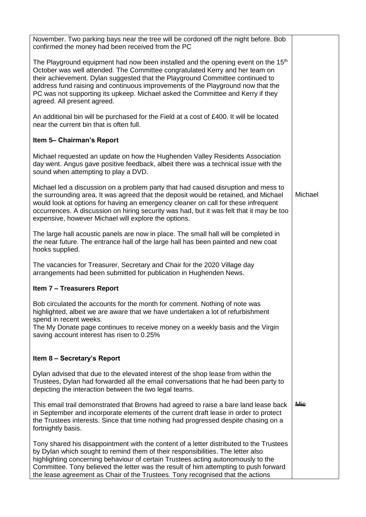| November. Two parking bays near the tree will be cordoned off the night before. Bob<br>confirmed the money had been received from the PC                                                                                                                                                                                                                                                                                                                            |            |
|---------------------------------------------------------------------------------------------------------------------------------------------------------------------------------------------------------------------------------------------------------------------------------------------------------------------------------------------------------------------------------------------------------------------------------------------------------------------|------------|
| The Playground equipment had now been installed and the opening event on the 15 <sup>th</sup><br>October was well attended. The Committee congratulated Kerry and her team on<br>their achievement. Dylan suggested that the Playground Committee continued to<br>address fund raising and continuous improvements of the Playground now that the<br>PC was not supporting its upkeep. Michael asked the Committee and Kerry if they<br>agreed. All present agreed. |            |
| An additional bin will be purchased for the Field at a cost of £400. It will be located<br>near the current bin that is often full.                                                                                                                                                                                                                                                                                                                                 |            |
| Item 5- Chairman's Report                                                                                                                                                                                                                                                                                                                                                                                                                                           |            |
| Michael requested an update on how the Hughenden Valley Residents Association<br>day went. Angus gave positive feedback, albeit there was a technical issue with the<br>sound when attempting to play a DVD.                                                                                                                                                                                                                                                        |            |
| Michael led a discussion on a problem party that had caused disruption and mess to<br>the surrounding area. It was agreed that the deposit would be retained, and Michael<br>would look at options for having an emergency cleaner on call for these infrequent<br>occurrences. A discussion on hiring security was had, but it was felt that it may be too<br>expensive, however Michael will explore the options.                                                 | Michael    |
| The large hall acoustic panels are now in place. The small hall will be completed in<br>the near future. The entrance hall of the large hall has been painted and new coat<br>hooks supplied.                                                                                                                                                                                                                                                                       |            |
| The vacancies for Treasurer, Secretary and Chair for the 2020 Village day<br>arrangements had been submitted for publication in Hughenden News.                                                                                                                                                                                                                                                                                                                     |            |
| <b>Item 7 - Treasurers Report</b>                                                                                                                                                                                                                                                                                                                                                                                                                                   |            |
| Bob circulated the accounts for the month for comment. Nothing of note was<br>highlighted, albeit we are aware that we have undertaken a lot of refurbishment<br>spend in recent weeks.<br>The My Donate page continues to receive money on a weekly basis and the Virgin                                                                                                                                                                                           |            |
| saving account interest has risen to 0.25%                                                                                                                                                                                                                                                                                                                                                                                                                          |            |
| Item 8 - Secretary's Report                                                                                                                                                                                                                                                                                                                                                                                                                                         |            |
| Dylan advised that due to the elevated interest of the shop lease from within the<br>Trustees, Dylan had forwarded all the email conversations that he had been party to<br>depicting the interaction between the two legal teams.                                                                                                                                                                                                                                  |            |
| This email trail demonstrated that Browns had agreed to raise a bare land lease back<br>in September and incorporate elements of the current draft lease in order to protect<br>the Trustees interests. Since that time nothing had progressed despite chasing on a<br>fortnightly basis.                                                                                                                                                                           | <b>Mie</b> |
| Tony shared his disappointment with the content of a letter distributed to the Trustees<br>by Dylan which sought to remind them of their responsibilities. The letter also<br>highlighting concerning behaviour of certain Trustees acting autonomously to the<br>Committee. Tony believed the letter was the result of him attempting to push forward<br>the lease agreement as Chair of the Trustees. Tony recognised that the actions                            |            |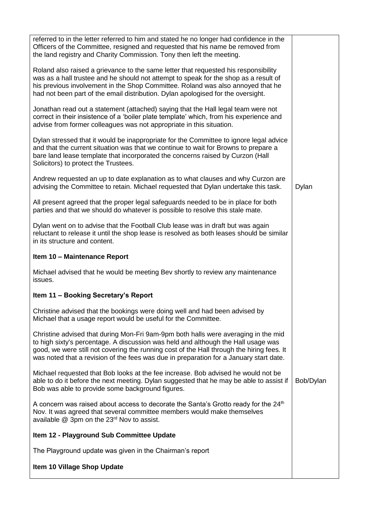| referred to in the letter referred to him and stated he no longer had confidence in the<br>Officers of the Committee, resigned and requested that his name be removed from<br>the land registry and Charity Commission. Tony then left the meeting.                                                                                                            |           |  |  |  |
|----------------------------------------------------------------------------------------------------------------------------------------------------------------------------------------------------------------------------------------------------------------------------------------------------------------------------------------------------------------|-----------|--|--|--|
| Roland also raised a grievance to the same letter that requested his responsibility<br>was as a hall trustee and he should not attempt to speak for the shop as a result of<br>his previous involvement in the Shop Committee. Roland was also annoyed that he<br>had not been part of the email distribution. Dylan apologised for the oversight.             |           |  |  |  |
| Jonathan read out a statement (attached) saying that the Hall legal team were not<br>correct in their insistence of a 'boiler plate template' which, from his experience and<br>advise from former colleagues was not appropriate in this situation.                                                                                                           |           |  |  |  |
| Dylan stressed that it would be inappropriate for the Committee to ignore legal advice<br>and that the current situation was that we continue to wait for Browns to prepare a<br>bare land lease template that incorporated the concerns raised by Curzon (Hall<br>Solicitors) to protect the Trustees.                                                        |           |  |  |  |
| Andrew requested an up to date explanation as to what clauses and why Curzon are<br>advising the Committee to retain. Michael requested that Dylan undertake this task.                                                                                                                                                                                        | Dylan     |  |  |  |
| All present agreed that the proper legal safeguards needed to be in place for both<br>parties and that we should do whatever is possible to resolve this stale mate.                                                                                                                                                                                           |           |  |  |  |
| Dylan went on to advise that the Football Club lease was in draft but was again<br>reluctant to release it until the shop lease is resolved as both leases should be similar<br>in its structure and content.                                                                                                                                                  |           |  |  |  |
| Item 10 - Maintenance Report                                                                                                                                                                                                                                                                                                                                   |           |  |  |  |
| Michael advised that he would be meeting Bev shortly to review any maintenance<br>issues.                                                                                                                                                                                                                                                                      |           |  |  |  |
| Item 11 - Booking Secretary's Report                                                                                                                                                                                                                                                                                                                           |           |  |  |  |
| Christine advised that the bookings were doing well and had been advised by<br>Michael that a usage report would be useful for the Committee.                                                                                                                                                                                                                  |           |  |  |  |
| Christine advised that during Mon-Fri 9am-9pm both halls were averaging in the mid<br>to high sixty's percentage. A discussion was held and although the Hall usage was<br>good, we were still not covering the running cost of the Hall through the hiring fees. It<br>was noted that a revision of the fees was due in preparation for a January start date. |           |  |  |  |
| Michael requested that Bob looks at the fee increase. Bob advised he would not be<br>able to do it before the next meeting. Dylan suggested that he may be able to assist if<br>Bob was able to provide some background figures.                                                                                                                               | Bob/Dylan |  |  |  |
| A concern was raised about access to decorate the Santa's Grotto ready for the 24 <sup>th</sup><br>Nov. It was agreed that several committee members would make themselves<br>available @ 3pm on the 23 <sup>rd</sup> Nov to assist.                                                                                                                           |           |  |  |  |
| Item 12 - Playground Sub Committee Update                                                                                                                                                                                                                                                                                                                      |           |  |  |  |
| The Playground update was given in the Chairman's report                                                                                                                                                                                                                                                                                                       |           |  |  |  |
|                                                                                                                                                                                                                                                                                                                                                                |           |  |  |  |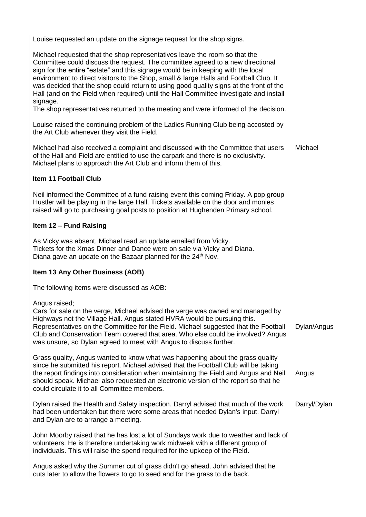| Louise requested an update on the signage request for the shop signs.                                                                                                                                                                                                                                                                                                                                                                                                                                                                                                                                                            |              |
|----------------------------------------------------------------------------------------------------------------------------------------------------------------------------------------------------------------------------------------------------------------------------------------------------------------------------------------------------------------------------------------------------------------------------------------------------------------------------------------------------------------------------------------------------------------------------------------------------------------------------------|--------------|
| Michael requested that the shop representatives leave the room so that the<br>Committee could discuss the request. The committee agreed to a new directional<br>sign for the entire "estate" and this signage would be in keeping with the local<br>environment to direct visitors to the Shop, small & large Halls and Football Club. It<br>was decided that the shop could return to using good quality signs at the front of the<br>Hall (and on the Field when required) until the Hall Committee investigate and install<br>signage.<br>The shop representatives returned to the meeting and were informed of the decision. |              |
| Louise raised the continuing problem of the Ladies Running Club being accosted by                                                                                                                                                                                                                                                                                                                                                                                                                                                                                                                                                |              |
| the Art Club whenever they visit the Field.                                                                                                                                                                                                                                                                                                                                                                                                                                                                                                                                                                                      |              |
| Michael had also received a complaint and discussed with the Committee that users<br>of the Hall and Field are entitled to use the carpark and there is no exclusivity.<br>Michael plans to approach the Art Club and inform them of this.                                                                                                                                                                                                                                                                                                                                                                                       | Michael      |
| <b>Item 11 Football Club</b>                                                                                                                                                                                                                                                                                                                                                                                                                                                                                                                                                                                                     |              |
| Neil informed the Committee of a fund raising event this coming Friday. A pop group<br>Hustler will be playing in the large Hall. Tickets available on the door and monies<br>raised will go to purchasing goal posts to position at Hughenden Primary school.                                                                                                                                                                                                                                                                                                                                                                   |              |
| Item 12 - Fund Raising                                                                                                                                                                                                                                                                                                                                                                                                                                                                                                                                                                                                           |              |
| As Vicky was absent, Michael read an update emailed from Vicky.<br>Tickets for the Xmas Dinner and Dance were on sale via Vicky and Diana.<br>Diana gave an update on the Bazaar planned for the 24 <sup>th</sup> Nov.                                                                                                                                                                                                                                                                                                                                                                                                           |              |
| Item 13 Any Other Business (AOB)                                                                                                                                                                                                                                                                                                                                                                                                                                                                                                                                                                                                 |              |
| The following items were discussed as AOB:                                                                                                                                                                                                                                                                                                                                                                                                                                                                                                                                                                                       |              |
| Angus raised;<br>Cars for sale on the verge, Michael advised the verge was owned and managed by<br>Highways not the Village Hall. Angus stated HVRA would be pursuing this.<br>Representatives on the Committee for the Field. Michael suggested that the Football<br>Club and Conservation Team covered that area. Who else could be involved? Angus<br>was unsure, so Dylan agreed to meet with Angus to discuss further.                                                                                                                                                                                                      | Dylan/Angus  |
| Grass quality, Angus wanted to know what was happening about the grass quality<br>since he submitted his report. Michael advised that the Football Club will be taking<br>the report findings into consideration when maintaining the Field and Angus and Neil<br>should speak. Michael also requested an electronic version of the report so that he<br>could circulate it to all Committee members.                                                                                                                                                                                                                            | Angus        |
| Dylan raised the Health and Safety inspection. Darryl advised that much of the work<br>had been undertaken but there were some areas that needed Dylan's input. Darryl<br>and Dylan are to arrange a meeting.                                                                                                                                                                                                                                                                                                                                                                                                                    | Darryl/Dylan |
| John Moorby raised that he has lost a lot of Sundays work due to weather and lack of<br>volunteers. He is therefore undertaking work midweek with a different group of<br>individuals. This will raise the spend required for the upkeep of the Field.                                                                                                                                                                                                                                                                                                                                                                           |              |
| Angus asked why the Summer cut of grass didn't go ahead. John advised that he<br>cuts later to allow the flowers to go to seed and for the grass to die back.                                                                                                                                                                                                                                                                                                                                                                                                                                                                    |              |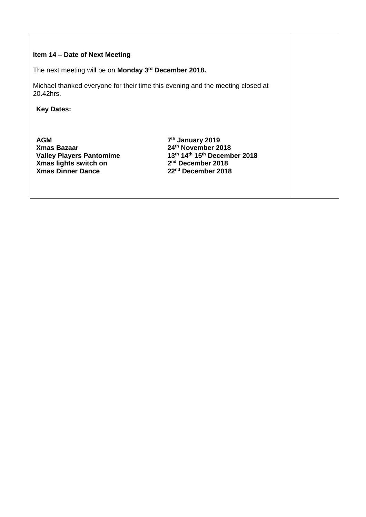| Item 14 – Date of Next Meeting                                                                                           |                                                                                                                                                       |  |  |  |
|--------------------------------------------------------------------------------------------------------------------------|-------------------------------------------------------------------------------------------------------------------------------------------------------|--|--|--|
| The next meeting will be on Monday 3 <sup>rd</sup> December 2018.                                                        |                                                                                                                                                       |  |  |  |
| Michael thanked everyone for their time this evening and the meeting closed at<br>20.42hrs.                              |                                                                                                                                                       |  |  |  |
| <b>Key Dates:</b>                                                                                                        |                                                                                                                                                       |  |  |  |
|                                                                                                                          |                                                                                                                                                       |  |  |  |
| <b>AGM</b><br><b>Xmas Bazaar</b><br><b>Valley Players Pantomime</b><br>Xmas lights switch on<br><b>Xmas Dinner Dance</b> | 7 <sup>th</sup> January 2019<br>24th November 2018<br>13th 14th 15th December 2018<br>2 <sup>nd</sup> December 2018<br>22 <sup>nd</sup> December 2018 |  |  |  |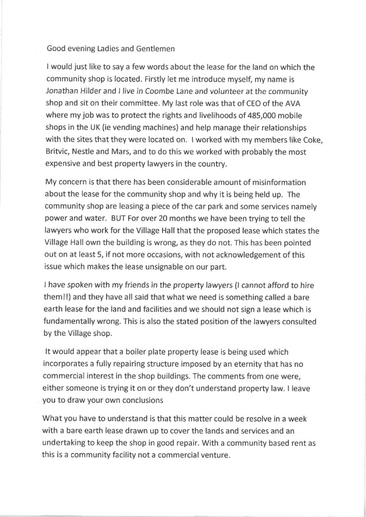## Good evening Ladies and Gentlemen

<sup>w</sup>ould just like to say a few words about the lease for the land on which the <sup>c</sup>ommunity shop is located. Firstly let me introduce myself, my name is <sup>J</sup>onathan Hilder and 1 live in Coombe Lane and volunteer at the community <sup>s</sup>hop and sit on their committee. My last role was that of CEO of the AVA <sup>w</sup>here my job was to protect the rights and livelihoods of 485,000 mobile <sup>s</sup>hops in the UK (ie vending machines) and help manage their relationships with the sites that they were located on. I worked with my members like Coke, <sup>B</sup>ritvic, Nestle and Mars, and to do this we worked with probably the most <sup>e</sup>xpensive and best property lawyers in the country.

My concern is that there has been considerable amount of misinformation <sup>a</sup>bout the lease for the community shop and why it is being held up. The <sup>c</sup>ommunity shop are leasing a piece of the car park and some services namely <sup>p</sup>ower and water. BUT For over 20 months we have been trying to tell the lawyers who work for the Village Hall that the proposed lease which states the <sup>V</sup>illage Hall own the building is wrong, as they do not. This has been pointed <sup>o</sup>ut on at least 5, if not more occasions, with not acknowledgement of this issue which makes the lease unsignable on our part.

!have spoken with my friends in the property lawyers (I cannot afford to hire <sup>t</sup>hem!!) and they have all said that what we need is something called a bare <sup>e</sup>arth lease for the land and facilities and we should not sign a lease which is fundamentally wrong. This is also the stated position of the lawyers consulted by the Village shop.

It would appear that a boiler plate property lease is being used which incorporates a fully repairing structure imposed by an eternity that has no <sup>c</sup>ommercial interest in the shop buildings. The comments from one were, <sup>e</sup>ither someone is trying it on or they don't understand property law. I leave you to draw your own conclusions

What you have to understand is that this matter could be resolve in a week <sup>w</sup>ith a bare earth lease drawn up to cover the lands and services and an <sup>u</sup>ndertaking to keep the shop in good repair. With a community based rent as <sup>t</sup>his is a community facility not a commercial venture.